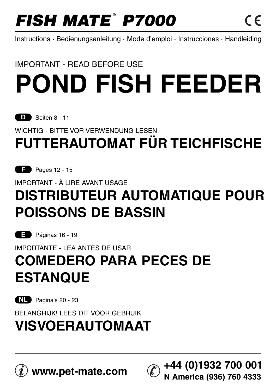# **FISH MATE<sup>®</sup> P7000**

**N America (936) 760 4333**

Instructions · Bedienungsanleitung · Mode d'emploi · Instrucciones · Handleiding

### IMPORTANT - READ BEFORE USE

# **POND FISH FEEDER**

**D** Seiten 8 - 11

WICHTIG - BITTE VOR VERWENDUNG LESEN

# **FUTTERAUTOMAT FÜR TEICHFISCHE**

**F** Pages 12 - 15

IMPORTANT - À LIRE AVANT USAGE

# **DISTRIBUTEUR AUTOMATIQUE POUR POISSONS DE BASSIN**

**E** Páginas 16 - 19

### IMPORTANTE - LEA ANTES DE USAR **COMEDERO PARA PECES DE ESTANQUE**

**NL** Pagina's 20 - 23

BELANGRIJK! LEES DIT VOOR GEBRUIK

## **VISVOERAUTOMAAT**

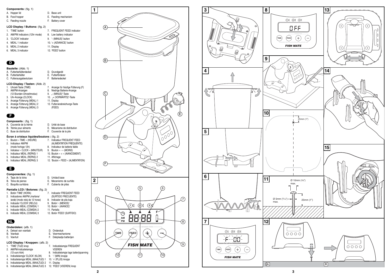#### **Components:** (fig. 1)

| A. Hopper lid     | D. Base unit         |
|-------------------|----------------------|
| B. Food hopper    | E. Feeding mechanism |
| C. Feeding nozzle | F. Battery cover     |

#### **LCD Display / Buttons:** (fig. 2)

| 1. 'TIME' button                |  | 7. FREQUENT FEED indicator |
|---------------------------------|--|----------------------------|
| 2. AM/PM indicators (12hr mode) |  | 8. Low battery indicator   |
| 3. 'CLOCK' indicator            |  | 9. '- (MINUS)' button      |
| 4. MEAL 1 indicator             |  | 10. '+ (ADVANCE)' button   |
| 5. MEAL 2 indicator             |  | 11. Display                |
| 6. MEAL 3 indicator             |  | 12. 'FEED' button          |

### **D**

| Bauteile: (Abb. 1) |                         |  |                   |  |
|--------------------|-------------------------|--|-------------------|--|
|                    | A. Futterbehälterdeckel |  | D. Grundgerät     |  |
|                    | B. Futterbehälter       |  | E. Futterförderer |  |
|                    | - - - - - - - -         |  | .                 |  |

C. Futterausgabestutzen F. Batteriedeckel

#### **LCD-Display / Tasten:** (Abb. 2)

| 1. Uhrzeit-Taste (TIME)       | 7. Anzeige für häufige Fütterung (F) |
|-------------------------------|--------------------------------------|
| 2. AM/PM-Anzeigen             | 8. Niedrige Batterie-Anzeige         |
| (12-Stunden-Uhrzeitmodus)     | 9. "- (MINUS)"-Taste                 |
| 3. Uhr-Anzeige (CLOCK)        | 10. + (VORWÄRTS)"-Taste              |
| 4. Anzeige Fütterung (MEAL) 1 | 11. Display                          |
|                               |                                      |

5. Anzeige Fütterung (MEAL) 2 12. Futterverabreichungs-Taste<br>6. Anzeige Fütterung (MEAL) 3 (FEED) 6. Anzeige Fütterung (MEAL) 3

### **F**

| <b>Composants:</b> (fig. 1) |                              |  |  |  |  |
|-----------------------------|------------------------------|--|--|--|--|
|                             | A. Couvercle de la trémie    |  |  |  |  |
|                             | D. Talente a concellation of |  |  |  |  |

D. Unité de base<br>E. Mécanisme de distribution B. Trémie pour aliments<br>C. Buse de distribution F. Couvercle de la pile

#### **Écran à cristaux liquides/boutons :** (fig. 2)

|    | Bouton « TIME » (HEURE)<br>1.   | 7. Indicateur FREQUENT FEED         |
|----|---------------------------------|-------------------------------------|
|    | Indicateur AM/PM<br>2.          | (ALIMENTATION FRÉQUENTE)            |
|    | (mode horloge 12h)              | Indicateur de batterie faible<br>8. |
| 3. | Indicateur « CLOCK » (MINUTEUR) | 9. Bouton « - » (MOINS)             |
|    | 4. Indicateur MEAL (REPAS) 1    | 10. Bouton « + » (AVANCEMENT)       |
|    | 5. Indicateur MEAL (REPAS) 2    | 11. Affichage                       |
|    | 6. Indicateur MEAL (REPAS) 3    | 12. 'Bouton « FEED » (ALIMENTATION) |
|    |                                 |                                     |

### **E**

|    | Componentes: (fig. 1)            |    |                                       |   |
|----|----------------------------------|----|---------------------------------------|---|
|    | A. Tapa de la tolva              |    | D. Unidad base                        |   |
|    | B. Tolva de pienso               |    | E. Mecanismo de surtido               | 2 |
|    | C. Boquilla surtidora            |    | F. Cubierta de pilas                  |   |
|    | Pantalla LCD / Botones: (fig. 2) |    |                                       |   |
| 1. | Botón 'TIME' (HORA)              | 7. | Indicador FREQUENT FEED               |   |
| 2. | Indicadores AM/PM (mañana/       |    | (SURTIDO FRECUENTE)                   |   |
|    | tarde) (modo reloj de 12 horas)  |    | 8. Indicador de pila baja             |   |
|    | 3. Indicador 'CLOCK' (RELOJ)     |    | 9. Botón '- (MENOS)'                  |   |
|    | 4. Indicador MEAL (COMIDA) 1     |    | 10. Botón '- (AVANCE)'                |   |
|    | 5. Indicador MEAL (COMIDA) 2     |    | 11. Pantalla                          |   |
| 6. | Indicador MEAL (COMIDA) 3        |    | 12. Botón 'FEED' (SURTIDO)            |   |
|    |                                  |    |                                       |   |
|    | NL                               |    |                                       |   |
|    | Onderdelen: (afb. 1)             |    |                                       |   |
|    | A. Deksel van voerbak            |    | D. Onderstuk                          |   |
|    | B. Voerbak                       |    | E. Voermechanisme                     |   |
|    | C. Voertuit                      | F. | Dekplaatje batterijen                 |   |
|    |                                  |    |                                       |   |
|    | LCD Display / Knoppen: (afb. 2)  |    |                                       |   |
|    | 1. 'TIME' (TIJD) knop            | 7. | Indicatielampje FREQUENT              |   |
| 2. | AM/PM-Indicatielampje            |    | <b>VOEREN</b>                         |   |
|    | (12-uurs klok)                   | 8. | Indicatielampje lage batterijspanning |   |

- (12-uurs klok) 8. Indicatielampje lage batterijspanning 3. Indicatielampje 'CLOCK' (KLOK) 9. '-' (MIN) knopje 4. Indicatielampje MEAL (MAALTIJD) 1 10. '+' (PLUS) knopje 5. Indicatielampje MEAL (MAALTIJD) 2 11. Display
- 
- 
- 6. Indicatielampje MEAL (MAALTIJD) 3 12. 'FEED' (VOEREN) knop



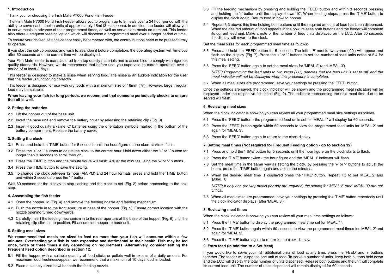#### **1. Introduction**

Thank you for choosing the Fish Mate P7000 Pond Fish Feeder.

The Fish Mate P7000 Pond Fish Feeder allows you to program up to 3 meals over a 24 hour period with the ability to serve each meal in units of approximately 15ml (3 teaspoons). In addition, the feeder will allow you to serve meals in advance of their programmed times, as well as serve extra meals on demand. This feeder also offers a 'frequent feeding' option which will dispense a programmed meal over a longer period of time.

To ensure your chosen settings cannot easily be tampered with, the control buttons need to be pressed firmly to operate.

If you start the set-up process and wish to abandon it before completion, the operating system will 'time out' after 60 seconds and the current time will be displayed.

Your Fish Mate feeder is manufactured from top quality materials and is assembled to comply with rigorous quality standards. However, we do recommend that before use, you supervise its correct operation over a period of at least 3 days.

This feeder is designed to make a noise when serving food. The noise is an audible indication for the user that the feeder is functioning correctly.

This feeder is designed for use with dry foods with a maximum size of 16mm (5 /8"). However, large irregular food may be suitable.

**When leaving your fish for long periods, we recommend that someone periodically checks to ensure that all is well.**

#### **2. Fitting the batteries**

- 2.1 Lift the hopper out of the base unit.
- 2.2 Invert the base unit and remove the battery cover by releasing the retaining clip (Fig. 3).
- 2.3 Insert 4 good quality alkaline 'C' batteries using the orientation symbols marked in the bottom of the battery compartment. Replace the battery cover.

#### **3. Setting the clock**

- 3.1 Press and hold the 'TIME' button for 5 seconds until the hour figure on the clock starts to flash.
- 3.2 Press the '+' or '-' buttons to adjust the clock to the correct hour. Hold down either the '+' or '-' button for longer than 3 seconds to scroll through.
- 3.3 Press the 'TIME' button and the minute figure will flash. Adjust the minutes using the '+' or '-' buttons.
- 3.4 Press the 'TIME' button to save the setting.
- 3.5 To change the clock between 12 hour (AM/PM) and 24 hour formats, press and hold the 'TIME' button and within 3 seconds press the '+' button.

Wait 60 seconds for the display to stop flashing and the clock to set (Fig. 2) before proceeding to the next step.

#### **4. Assembling the fish feeder**

- 4.1 Open the hopper lid (Fig. 4) and remove the feeding nozzle and feeding mechanism.
- 4.2 Push the nozzle in to the front aperture at base of the hopper (Fig. 5). Ensure correct location with the nozzle opening turned downwards.
- 4.3 Carefully insert the feeding mechanism in to the rear aperture at the base of the hopper (Fig. 6) until the retaining clip clicks in to position. Fit assembled hopper to base unit.

#### **5. Setting meal sizes**

**We recommend that meals are sized to feed no more than your fish will consume within a few minutes. Overfeeding your fish is both expensive and detrimental to their health. Fish may be fed once, twice or three times a day depending on requirements. Alternatively, consider setting the Frequent Feed option described in section 12.**

- 5.1 Fill the hopper with a suitable quantity of food sticks or pellets well in excess of a daily amount. For maximum food freshness/appeal, we recommend that a maximum of 10 days food is loaded.
- 5.2 Place a suitably sized bowl beneath the feeding nozzle.
- 5.3 Fill the feeding mechanism by pressing and holding the 'FEED' button and within 3 seconds pressing and holding the '+' button until the display shows '10'. When feeding stops, press the 'TIME' button to display the clock again. Return food in bowl to hopper.
- 5.4 Repeat 5.3 above, this time holding both buttons until the required amount of food has been dispensed. When the desired amount of food appears in the bowl release both buttons and the feeder will complete its current feed unit. Make a note of the number of feed units displayed on the LCD. After 60 seconds the display will revert to the clock.

Set the meal sizes for each programmed meal time as follows:

- 5.5 Press and hold the 'FEED' button for 5 seconds. The letter 'F' next to two zeros ('00') will appear and flash on the display (Fig. 7). Press the '+' or '-' buttons to set the number of feed units noted at 5.4 for this meal setting.
- 5.6 Press the 'FEED' button again to set the meal sizes for 'MEAL 2' (and 'MEAL 3').

NOTE: Programming the feed units to two zeros ('00') denotes that the feed unit is set to 'off' and the meal indicator will not be displayed when this procedure is completed.

5.7 When all meal sizes are programmed, save your settings by pressing the 'FEED' button.

Once the settings are saved, the clock indicator will be shown and the programmed meal indicators will be displayed under the respective fish icons (Fig. 2). The indicator representing the next meal time due to be served will flash.

#### **6. Reviewing meal sizes**

When the clock indicator is showing you can review all your programmed meal size settings as follows:

- 6.1 Press the 'FEED' button the programmed feed units set for 'MEAL 1' will display for 60 seconds.
- 6.2 Press the 'FEED' button again within 60 seconds to view the programmed feed units for 'MEAL 2' and again for 'MEAL 3'.
- 6.3 Press the 'FEED' button again to return to the clock display.

#### **7. Setting meal times (Not required for Frequent Feeding option - go to section 12)**

- 7.1 Press and hold the 'TIME' button for 5 seconds until the hour figure on the clock starts to flash.
- 7.2 Press the 'TIME' button twice the hour figure and the 'MEAL 1' indicator will flash.
- 7.3 Set the meal time in the same way as setting the clock, by pressing the '+' or '-' buttons to adjust the hours, press the 'TIME' button again and adjust the minutes.
- 7.4 When the desired meal time is displayed press the 'TIME' button. Repeat 7.3 to set 'MEAL 2' and 'MEAL 3'.

NOTE: If only one (or two) meals per day are required, the setting for 'MEAL 2' (and 'MEAL 3') are not critical.

7.5 When all meal times are programmed, save your settings by pressing the 'TIME' button repeatedly until the clock indicator displays (after 'MEAL 3').

#### **8. Reviewing meal times**

When the clock indicator is showing you can review all your meal time settings as follows:

- 8.1 Press the 'TIME' button to display the programmed meal time set for 'MEAL 1'.
- 8.2 Press the 'TIME' button again within 60 seconds to view the programmed meal times for 'MEAL 2' and again for 'MEAL 3'.
- 8.3 Press the 'TIME' button again to return to the clock display.

#### **9. Extra feed (in addition to a Set Meal)**

If you would like to serve your fish additional units of food at any time, press the 'FEED' and '+' buttons together. The feeder will dispense one unit of food. To serve a number of units, keep both buttons held down and the LCD will display the total number of units dispensed. Release both buttons and the unit will complete its current feed unit. The number of units dispensed will remain displayed for 60 seconds.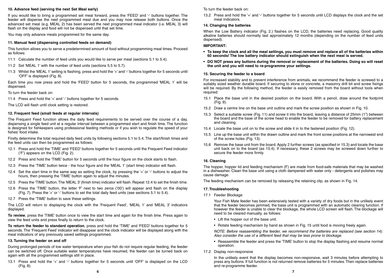#### **10. Advance feed (serving the next Set Meal early)**

If you would like to bring a programmed set meal forward, press the 'FEED' and '-' buttons together. The feeder will dispense the next programmed meal due and you may now release both buttons. Once the advanced set meal (e.g. MEAL 2) has been served the next programmed meal indicator (i.e. MEAL 3) will flash on the display and food will not be dispensed until that set time.

You may only advance meals programmed for the same day.

#### **11. Manual feed (dispensing controlled feeds on demand)**

This function allows you to serve a predetermined amount of food without programming meal times. Proceed as follows:

- 11.1 Calculate the number of feed units you would like to serve per meal (sections 5.1 to 5.4).
- 11.2 Set 'MEAL 1' with the number of feed units (sections 5.5 to 5.7).
- 11.3 Whilst the 'MEAL 1' setting is flashing, press and hold the '+' and '-' buttons together for 5 seconds until 'OFF' is displayed (Fig. 8).

Each time you now press and hold the 'FEED' button for 5 seconds, the programmed 'MEAL 1' will be dispensed.

To turn the feeder back on:

11.4 Press and hold the '+' and '-' buttons together for 5 seconds.

The LCD will flash until clock setting is restored.

#### **12. Frequent feed (small feeds at regular intervals)**

The Frequent Feed function allows the daily feed requirements to be served over the course of a day, dispensing a single feed unit at a regular interval between a programmed start and finish time. The function is designed for fishkeepers using professional feeding methods or if you wish to regulate the speed of your fishes' food intake.

Firstly determine the total required daily feed units by following sections 5.1 to 5.4. The start/finish times and the feed units can then be programmed as follows:

- 12.1 Press and hold the 'TIME' and 'FEED' buttons together for 5 seconds until the Frequent Feed indicator ('F') appears on the LCD (Fig. 2).
- 12.2 Press and hold the 'TIME' button for 5 seconds until the hour figure on the clock starts to flash.
- 12.3 Press the 'TIME' button twice the hour figure and the 'MEAL 1' (start time) indicator will flash.
- 12.4 Set the start time in the same way as setting the clock, by pressing the '+' or '-' buttons to adjust the hours, then pressing the 'TIME' button again to adjust the minutes.
- 12.5 Press the 'TIME' button.The 'MEAL 3' (finish time) indicator will flash. Repeat 12.4 to set the finish time.
- 12.6 Press the 'TIME' button, the letter 'F' next to two zeros ('00') will appear and flash on the display (Fig. 7). Press the '+' or '-' buttons to set the total daily feed units (see sections 5.1 to 5.4).
- 12.7 Press the 'TIME' button to save these settings.

The LCD will return to displaying the clock with the 'Frequent Feed', 'MEAL 1' and 'MEAL 3' indicators displayed.

**To review**, press the 'TIME' button once to view the start time and again for the finish time. Press again to view the feed units and press finally to return to the clock.

**To return the feeder to standard operation**, press and hold the 'TIME' and 'FEED' buttons together for 5 seconds. The 'Frequent Feed' indicator will disappear and the clock indicator will be displayed along with the meal indicators of any previously saved settings programmed.

#### **13. Turning the feeder on and off**

During prolonged periods of low water temperature when your fish do not require regular feeding, the feeder can be switched off. Once suitable water temperatures have resumed, the feeder can be turned back on again with all the programmed settings still in place.

13.1 Press and hold the '+' and '-' buttons together for 5 seconds until 'OFF' is displayed on the LCD (Fig. 8).

To turn the feeder back on:

13.2 Press and hold the '+' and '-' buttons together for 5 seconds until LCD displays the clock and the set meal indicators.

#### **14. Changing the batteries**

When the Low Battery indicator (Fig. 2.) flashes on the LCD, the batteries need replacing. Good quality alkaline batteries should normally last approximately 12 months (depending on the number of feed units dispensed).

#### **IMPORTANT:**

- **To keep the clock and all the meal settings, you must remove and replace all of the batteries within 60 seconds! The low battery indicator should extinguish when the next meal is served.**
- **DO NOT press any buttons during the removal or replacement of the batteries. Doing so will reset the unit and you will need to re-programme your settings.**

#### **15. Securing the feeder to a board**

For increased stability and to prevent interference from animals, we recommend the feeder is screwed to a suitably sized weather durable board. If securing to stone or concrete, a masonry drill bit and screw fixings will be required. By the following method, the feeder is easily removed from the board without tools when required:

- 15.1 Place the base unit in the desired position on the board. With a pencil, draw around the footprint (Fig. 9).
- 15.2 Draw a centre line on the base unit outline and mark the screw position as shown in Fig. 10.
- 15.3 Select a suitable screw (Fig. 11) and screw it into the board, leaving a distance of 25mm (1") between the board and the base of the screw head to enable the feeder to be removed for battery replacement and cleaning.
- 15.4 Locate the base unit on to the screw and slide it in to the fastened position (Fig. 12).
- 15.5 Line up the base unit within the drawn outline and mark the front screw positions at the narrowest end of the screw holes (Fig. 13).
- 15.6 Remove the base unit from the board. Apply 2 further screws (as specified in 15.3) and locate the base unit back on to the board (as 15.4). If necessary, these 2 screws may be screwed down further to secure the feeder more firmly.

#### **16. Cleaning**

The hopper, hopper lid and feeding mechanism (F) are made from food-safe materials that may be washed in a dishwasher. Clean the base unit using a cloth dampened with water only - detergents and polishes may cause damage.

The feeding mechanism can be removed by releasing the retaining clip, as shown in Fig. 14.

#### **17. Troubleshooting**

17.1 Feeder Blockage

Your Fish Mate feeder has been extensively tested with a variety of dry foods but in the unlikely event that the feeder becomes jammed, the base unit is programmed with an automatic clearing function. If however the feeder is unable to clear the blockage, the whole LCD screen will flash. The blockage will need to be cleared manually, as follows:

- Lift the hopper out of the base unit.
- Rotate feeding mechanism by hand as shown in Fig. 15 until food is moving freely again.

NOTE: Before reassembling the feeder, we recommend the batteries are replaced (see section 14). Also consider the use of a different feed that may be less prone to blockage.

- Reassemble the feeder and press the 'TIME' button to stop the display flashing and resume normal operation.
- 17.2 Display non-responsive

In the unlikely event that the display becomes non-responsive, wait 3 minutes before attempting to press any buttons. If full function is not returned remove batteries for 5 minutes. Then replace batteries and re-programme feeder.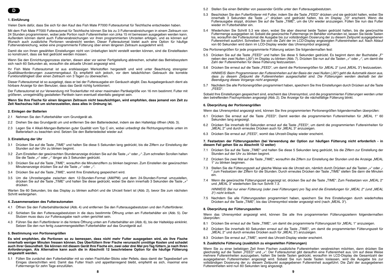#### **1. Einführung**

Vielen Dank dafür, dass Sie sich für den Kauf des Fish Mate P7000 Futterautomat für Teichfische entschieden haben.

Mit dem Fish Mate P7000 Futterautomat für Teichfische können Sie bis zu 3 Futterverabreichungen in einem Zeitraum von 24 Stunden programmieren, wobei jede Portion nach Futtereinheiten von zirka 15 ml bemessen ausgegeben werden kann. Außerdem können damit auch Futterverabreichungen vor ihren programmierten Uhrzeiten erfolgen, und es können auf Wunsch auch zusätzliche Portionen verabreicht werden. Dieser Futterautomat bietet auch eine Option für häufige Futterverabreichung, wobei eine programmierte Fütterung über einen längeren Zeitraum ausgedehnt wird.

Damit die von Ihnen gewählten Einstellungen nicht von Unbefugten leicht verstellt werden können, sind die Einstelltasten so konstruiert, dass sie fest gedrückt werden müssen.

Wenn Sie den Einrichtungsprozess starten, diesen aber vor seiner Fertigstellung abbrechen, schaltet das Betriebssystem sich nach 60 Sekunden ab, woraufhin die aktuelle Uhrzeit angezeigt wird.

Ihr Fish Mate Futterautomat ist aus erstklassigen Werkstoffen hergestellt und wird unter Beachtung strengster Qualitätsanforderungen zusammengebaut. Es empfiehlt sich jedoch, vor dem tatsächlichen Gebrauch die korrekte Funktionsfähigkeit über einen Zeitraum von 3 Tagen zu überwachen.

Dieser Futterautomat ist so ausgelegt, dass er bei der Futterausgabe ein Geräusch abgibt. Das Ausgabegeräusch dient als hörbare Anzeige für den Benutzer, dass das Gerät richtig funktioniert.

Der Futterautomat ist zur Verwendung mit Trockenfutter mit einer maximalen Partikelgröße von 16 mm bestimmt. Futter mit größeren, unregelmäßig gestalteten Partikeln kann eventuell ebenfalls geeignet sein.

#### **Wenn Sie Ihre Fische für einen längeren Zeitraum nicht beaufsichtigen, wird empfohlen, dass jemand von Zeit zu Zeit Nachschau hält um sicherzustellen, dass alles in Ordnung ist.**

#### **2. Einlegen der Batterien**

- 2.1 Nehmen Sie den Futterbehälter vom Grundgerät ab.
- 2.2 Drehen Sie das Grundgerät um und entfernen Sie den Batteriedeckel, indem sie den Halteklipp öffnen (Abb. 3).
- 2.3 Legen Sie 4 Alkali-Mangan-Batterien guter Qualität vom Typ C ein, wobei unbedingt die Richtungssymbole unten im Batteriefach zu beachten sind. Setzen Sie den Batteriedeckel wieder auf.

#### **3. Einstellung der Uhr**

- 3.1 Drücken Sie auf die Taste "TIME" und halten Sie diese 5 Sekunden lang gedrückt, bis die Ziffern zur Einstellung der Stunden auf der Uhr zu blinken beginnt.
- 3.2 Zum Einstellen der gewünschten Stundenanzeige drücken Sie auf die Taste "+" oder "-". Zum schnellen Scrollen halten Sie die Taste "+" oder "-" länger als 3 Sekunden gedrückt.
- 3.3 Drücken Sie auf die Taste "TIME", woraufhin die Minutenziffern zu blinken beginnen. Zum Einstellen der gewünschten Minutenanzeige drücken Sie auf die Taste "+" oder "-".
- 3.4 Drücken Sie auf die Taste "TIME", womit Ihre Einstellung gespeichert wird.
- 3.5 Um die Uhrzeitangabe zwischen dem 12-Stunden-Format (AM/PM) und dem 24-Stunden-Format umzustellen, drücken Sie auf die Taste "TIME" und halten Sie diese gedrückt, wobei Sie dann innerhalb 3 Sekunden die Taste "+" drücken.

Warten Sie 60 Sekunden, bis das Display zu blinken aufhört und die Uhrzeit fixiert ist (Abb. 2), bevor Sie zum nächsten Schritt weitergehen.

#### **4. Zusammensetzen des Futterautomaten**

- 4.1 Öffnen Sie den Futterbehälterdeckel (Abb. 4) und entfernen Sie den Futterausgabestutzen und den Futterförderer.
- 4.2 Schieben Sie den Futterausgabestutzen in die dazu bestimmte Öffnung unten am Futterbehälter ein (Abb. 5). Der Stutzen muss dazu zur Futterausgabe nach unten gerichtet sein.
- 4.3 Führen Sie den Futterförderer in die hintere Öffnung unten am Futterbehälter ein (Abb. 6), bis der Halteklipp einklinkt. Setzen Sie den nun fertig zusammengestellten Futterbehälter auf das Grundgerät auf.

#### **5. Bestimmung von Portionengrößen**

**Es wird empfohlen, die Portionen so zu bemessen, dass nicht mehr Futter ausgegeben wird, als Ihre Fische innerhalb weniger Minuten fressen können. Das Überfüttern Ihrer Fische verursacht unnötige Kosten und schadet auch ihrer Gesundheit. Sie können mit diesem Gerät Ihre Fische ein, zwei oder drei Mal pro Tag füttern, je nach Ihren Anforderungen. Als Alternative kann auch die in Abschnitt 12 beschriebene Option für die häufige Fütterung eingestellt werden.**

5.1 Füllen Sie zunächst den Futterbehälter mit so vielen Fischfutter-Sticks oder Pellets, dass damit der Tagesbedarf um Einiges überschritten wird. Damit das Futter frisch und appetitanregend bleibt, empfiehlt es sich, maximal eine Futtermenge für zehn Tage einzufüllen.

5.2 Stellen Sie einen Behälter von passender Größe unter den Futterausgabestutzen.

- 5.3 Beschicken Sie den Futterförderer mit Futter, indem Sie die Taste "FEED" drücken und sie gedrückt halten, wobei Sie innerhalb 3 Sekunden die Taste "+" drücken und gedrückt halten, bis im Display "10" erscheint. Wenn die Futterausgabe stoppt, drücken Sie auf die Taste "TIME", um die Uhr wieder anzuzeigen. Füllen Sie nun das Futter wieder im Futterbehälter ein.
- 5.4 Wiederholen Sie Schritt 5.3 wie oben, wobei Sie aber diesmal beide Tasten gedrückt halten, bis die gewünschte Futtermenge ausgegeben ist. Sobald die gewünschte Futtermenge im Behälter vorhanden ist, lassen Sie beide Tasten los, woraufhin der Futterautomat die Ausgabe bis zur vollständigen Dosierung der zu diesem Zeitpunkt ausgegebenen Futtereinheit ausführt. Schreiben Sie sich die Zahl der im LCD-Display angezeigten Futtereinheiten auf. Nach Ablauf von 60 Sekunden wird dann im LCD-Display wieder das Uhrensymbol angezeigt.

Die Portionengrößen für jede programmierte Fütterung setzen Sie folgendermaßen fest:

- 5.5 Drücken Sie auf die Taste "FEED" und halten Sie diese 5 Sekunden gedrückt. Es beginnt dann der Buchstabe "F" neben den zwei Nullen ("00") im Display zu blinken (Abb. 7). Drücken Sie nun auf die Tasten "+" oder "-", um damit die Zahl der Futtereinheiten für diese Fütterung festzusetzen.
- 5.6 Drücken Sie erneut auf die Taste "FEED", um damit die Portionengrößen für "MEAL 2" (und "MEAL 3") festzusetzen.

HINWEIS: Beim Programmieren der Futtereinheiten auf der Basis der zwei Nullen ("00") geht die Automatik davon aus, dass zu diesem Zeitpunkt die Futtereinheiten ausgeschaltet sind. Die Fütterungen werden deshalb bei der Beendigung dieses Vorgangs nicht angezeigt.

5.7 Nachdem Sie alle Portionengrößen programmiert haben, speichern Sie Ihre Einstellungen durch Drücken auf die Taste "FEED".

Sobald Ihre Einstellungen gespeichert sind, erscheint das Uhrensymbol, und die programmierten Fütterungen werden unter den betreffenden Fischsymbolen angezeigt (Abb. 2). Die Anzeige für die nächstfällige Fütterung blinkt.

#### **6. Überprüfung der Portionengrößen**

Wenn das Uhrensymbol angezeigt wird, können Sie Ihre programmierten Portionengrößen folgendermaßen überprüfen:

- 6.1 Drücken Sie erneut auf die Taste "FEED". Damit werden die programmierten Futtereinheiten für "MEAL 1" 60 Sekunden lang angezeigt.
- 6.2 Drücken Sie innerhalb 60 Sekunden erneut auf die Taste "FEED", um damit die programmierten Futtereinheiten für "MEAL 2" und durch erneutes Drücken auch für "MEAL 3" anzuzeigen.
- 6.3 Drücken Sie erneut auf "FEED", womit das Uhrzeit-Display wieder erscheint.

#### **7. Festsetzen der Fütterungszeiten (bei Verwendung der Option zur häufigen Fütterung nicht erforderlich - in diesem Fall gehen Sie zu Abschnitt 12 weiter)**

- 7.1 Drücken Sie auf die Taste "TIME" und halten Sie diese 5 Sekunden lang gedrückt, bis die Ziffern zur Einstellung der Stunden auf der Uhr zu blinken beginnt.
- 7.2 Drücken Sie zwei Mal auf die Taste "TIME", woraufhin die Ziffern zur Einstellung der Stunden und die Anzeige "MEAL 1" zu blinken beginnen.
- 7.3 Stellen Sie die Fütterungszeit auf gleiche Weise wie die Uhrzeit ein, nämlich durch Drücken auf die Tasten "+" oder "-" zum Festsetzen der Ziffern für die Stunden. Durch erneutes Drücken der Taste "TIME" stellen Sie dann die Minuten ein.
- 7.4 Wenn die gewünschte Fütterungszeit angezeigt ist, drücken Sie auf die Taste "TIME". Zum Festsetzen von "MEAL 2" und "MEAL 3" wiederholen Sie nun Schritt 7.3.

HINWEIS: Bei nur einer Fütterung (oder zwei Fütterungen) pro Tag sind die Einstellungen für "MEAL 2" (und "MEAL 3") nicht kritisch.

7.5 Nachdem Sie alle Fütterungszeiten programmiert haben, speichern Sie Ihre Einstellungen durch wiederholtes Drücken auf die Taste "TIME", bis das Uhrensymbol wieder angezeigt wird (nach "MEAL 3").

#### **8. Überprüfung der Fütterungszeiten**

Wenn das Uhrensymbol angezeigt wird, können Sie alle Ihre programmierten Fütterungszeitenn folgendermaßen überprüfen:

- 8.1 Drücken Sie erneut auf die Taste "TIME", um damit die programmierte Fütterungszeit für "MEAL 1" anzuzeigen.
- 8.2 Drücken Sie innerhalb 60 Sekunden erneut auf die Taste "TIME", um damit die programmierten Fütterungszeit für "MEAL 2" und durch erneutes Drücken auch für "MEAL 3") anzuzeigen.
- 8.3 Drücken Sie erneut auf "TIME", womit das Uhrzeit-Display wieder erscheint.

#### **9. Zusätzliche Fütterung (zusätzlich zu eingestellten Fütterungen)**

Wenn Sie zu einer beliebigen Zeit Ihren Fischen zusätzliche Futtereinheiten verabreichen möchten, dann drücken Sie gleichzeitig auf die Tasten "FEED" und "+". Der Futterautomat gibt daraufhin eine Futtereinheit aus. Um auf diese Weise mehrere Futtereinheiten auszugeben, halten Sie beide Tasten gedrückt, woraufhin im LCD-Display die Gesamtzahl der ausgegebenen Futtereinheiten angezeigt wird. Sobald Sie nun beide Tasten loslassen, wird die Ausgabe bis zur vollständigen Dosierung der zu diesem Zeitpunkt ausgegebenen Futtereinheit ausgeführt. Die Zahl der ausgegebenen Futtereinheiten wird nun 60 Sekunden lang angezeigt.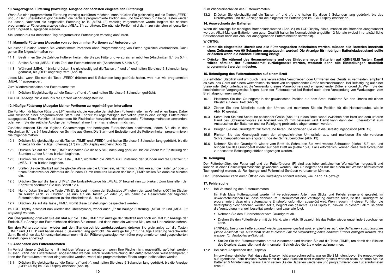#### **10. Vorgezogene Fütterung (vorzeitige Ausgabe der nächsten eingestellten Fütterung)**

Wenn Sie eine programmierte Fütterung vorzeitig ausführen möchten, dann drücken Sie gleichzeitig auf die Tasten "FEED" und .-". Der Futterautomat gibt daraufhin die nächste programmierte Portion aus, und Sie können nun beide Tasten wieder los lassen. Nachdem die eingestellte Fütterung (z. B. "MEAL 2") vorzeitig vorgenommen wurde, beginnt die nächste programmierte Fütterungsanzeige (also. "MEAL 3") zu blinken. Die nächste Portion wird dann zur nächsten eingestellten Fütterungszeit ausgegeben werden.

Sie können nur für denselben Tag programmierte Fütterungen vorzeitig ausführen.

#### **11. Manuelle Fütterung (Ausgabe von vorbestimmten Portionen auf Anforderung)**

Mit dieser Funktion können Sie vorbestimmte Portionen ohne Programmierung von Fütterungszeiten verabreichen. Dazu gehen Sie folgendermaßen vor:

- 11.1 Bestimmen Sie die Zahl der Futtereinheiten, die Sie pro Fütterung verabreichen möchten (Abschnitten 5.1 bis 5.4 ).
- 11.2 Stellen Sie für "MEAL 1" die Zahl der Futtereinheiten ein (Abschnitten 5.5 bis 5.7).
- 11.3 Während "MEAL 1" blinkt, drücken Sie gleichzeitig auf die Tasten "+" und "-" und halten Sie diese 5 Sekunden lang gedrückt, bis "OFF" angezeigt wird (Abb. 8).

Jedes Mal, wenn Sie nun die Taste "FEED" drücken und 5 Sekunden lang gedrückt halten, wird nun wie programmiert "MEAL 1" ausgegeben.

Zum Wiedereinschalten des Futterautomaten:

11.4 Drücken Siegleichzeitig auf die Tasten "+" und "-", und halten Sie diese 5 Sekunden gedrückt.

Die LCD-Anzeige blinkt nun, bis die Uhrzeit wieder eingestellt ist.

#### **12. Häufige Fütterung (Ausgabe kleiner Portionen zu regelmäßigen Intervallen)**

Die Funktion für häufige Fütterung ("F") ermöglicht die Ausgabe der täglichen Futtereinheiten im Verlauf eines Tages. Dabei wird zwischen einer programmierten Start- und Endzeit zu regelmäßigen Intervallen jeweils eine einzige Futtereinheit ausgegeben. Diese Funktion ist besonders für Fischhalter konzipiert, die professionelle Fütterungsmethoden anwenden, oder wenn Sie die zeitliche Abfolge der Futteraufnahme Ihrer Fische steuern möchten.

Zunächst müssen Sie die tägliche Gesamtmenge der benötigten Futtereinheiten bestimmen, indem Sie die in den Abschnitten 5.1 bis 5.4 beschriebenen Schritte ausführen. Die Start- und Endzeiten und die Futtereinheiten programmieren Sie folgendermaßen:

- 12.1 Drücken Sie gleichzeitig auf die Tasten "TIME" und "FEED", und halten Sie diese 5 Sekunden lang gedrückt, bis die Anzeige für die häufige Fütterung ("F") im LCD-Display erscheint (Abb. 2).
- 12.2 Drücken Sie auf die Taste "TIME" und halten Sie diese 5 Sekunden lang gedrückt, bis die Ziffern zur Einstellung der Stunden auf der Uhr zu blinken beginnen.
- 12.3 Drücken Sie zwei Mal auf die Taste "TIME", woraufhin die Ziffern zur Einstellung der Stunden und die Startzeit für "MEAL 1" zu blinken beginnen.
- 12.4 Stellen Sie die Startzeit auf die gleiche Weise wie die Uhrzeit ein, nämlich durch Drücken auf die Tasten "+" oder "-" zum Festsetzen der Ziffern für die Stunden. Durch erneutes Drücken der Taste "TIME" stellen Sie dann die Minuten ein.
- 12.5 Drücken Sie auf die Taste "TIME". Die Endzeit-Anzeige für "MEAL 3" beginnt nun zu blinken. Zum Einstellen der Endzeit wiederholen Sie nun Schritt 12.4.
- 12.6 Nun drücken Sie auf die Taste "TIME". Es beginnt dann der Buchstabe "F" neben den zwei Nullen ("00") im Display zu blinken (Abb. 7). Drücken Sie nun auf die Tasten . + oder . - ", um damit die Gesamtzahl der täglichen Futtereinheiten festzusetzen (siehe Abschnitten 5.1 bis 5.4).
- 12.7 Drücken Sie auf die Taste "TIME", womit diese Einstellungen gespeichert werden.

Im LCD-Display erscheint nun wieder das Uhrensymbol, wobei auch "F" für häufige Fütterung, "MEAL 1" und "MEAL 3" angezeigt werden.

**Zur Überprüfung drücken Sie ein Mal** auf die Taste "TIME" zur Anzeige der Startzeit und noch ein Mal zur Anzeige der Endzeit. Zur Anzeige der Futtereinheiten drücken Sie erneut, und dann noch ein weiteres Mal, um zur Uhr zurückzukehren.

**Um den Futterautomaten wieder auf den Standarbetrieb zurückzusetzen**, drücken Sie gleichzeitig auf die Tasten "TIME" und "FEED" und halten diese 5 Sekunden lang gedrückt. Die Anzeige für "F" für häufige Fütterung verschwindet dann. Es wird nun das Uhrensymbol zusammen mit den Fütterungsanzeigen von früher programmierten und gespeicherten Einstellungen angezeigt.

#### **13. Abschalten des Futterautomaten**

Im Verlauf längerer Zeiträume mit niedrigen Wassertemperaturen, wenn Ihre Fische nicht regelmäßig gefüttert werden müssen, kann der Futterautomat abgeschaltet werden. Nach Wiedererreichung der entsprechenden Wassertemperatur kann der Futterautomat wieder eingeschaltet werden, wobei alle programmierten Einstellungen beibehalten werden.

13.1 Drücken Sie gleichzeitig auf die Tasten "+" und "-", und halten Sie diese 5 Sekunden lang gedrückt, bis die Anzeige "OFF" (AUS) im LCD-Display erscheint (Abb. 8).

#### Zum Wiedereinschalten des Futterautomaten:

13.2 Drücken Sie gleichzeitig auf die Tasten "+" und "-", und halten Sie diese 5 Sekunden lang gedrückt, bis das Uhrensymbol und die Anzeige für die eingestellten Fütterungen im LCD-Display erscheinen.

#### **14. Auswechseln der Batterien**

Wenn die Anzeige für niedrigen Batterieladezustand (Abb. 2.) im LCD-Display blinkt, müssen die Batterien ausgetauscht werden. Alkali-Mangan-Batterien von guter Qualität halten im Normalbetrieb ungefähr 12 Monate (wobei ihre tatsächliche Betriebsdauer nach der Zahl der ausgegebenen Futtereinheiten schwankt).

#### **WICHTIG:**

- **Damit die eingestellte Uhrzeit und alle Fütterungszeiten beibehalten werden, müssen alle Batterien innerhalb eines Zeitraums von 60 Sekunden ausgetauscht werden! Die Anzeige für niedrigen Batterieladezustand sollte erlöschen wenn die nächste Fütterung erfolgt.**
- **Drücken Sie während des Herausnehmens und des Einlegens neuer Batterien auf KEINERLEI Tasten. Damit würde nämlich der Futterautomat zurückgesetzt werden, wodurch dann alle Einstellungen neuerlich programmiert werden müssten.**

#### **15. Befestigung des Futterautomaten auf einem Brett**

Zur erhöhten Stabilität und um durch Tiere verursachtes Verschieben oder Umwerfen des Geräts zu vermeiden, empfiehlt es sich, das Gerät auf einem wetterfesten Holzbrett von entsprechender Größe festzuschrauben. Bei Befestigung auf einer Stein- oder Betonunterlage ist die Verwendung eines Mauerbohrers und entsprechender Dübel erforderlich. Wenn Sie der beschriebenen Vorgangsweise folgen, kann der Futterautomat bei Bedarf auch ohne Verwendung von Werkzeugen vom Brett abgenommen werden:

- 15.1 Platzieren Sie das Grundgerät in der gewünschten Position auf dem Brett. Markieren Sie den Umriss mit einem Bleistift auf dem Brett (Abb. 9).
- 15.2 Ziehen Sie eine Mittellinie durch den Umriss und markieren Sie die Position für die Halteschraube, wie in Abb. 10 gezeigt.
- 15.3 Schrauben Sie eine Schraube passender Größe (Abb. 11) in das Brett, wobei zwischen dem Brett und dem unteren Rand des Schraubenkopfes ein Abstand von 25 mm belassen wird. Damit kann dann der Futterautomat zum Austauschen der Batterien und zur Reinigung problemlos abgenommen werden.
- 15.4 Bringen Sie das Grundgerät zur Schraube heran und schieben Sie es in die Befestigungsposition (Abb. 12).
- 15.5 Richten Sie das Grundgerät nach der eingezeichneten Umrisslinie aus, und markieren Sie die vorderen Schraubenpositionen am engsten Ende der Schraubenlöcher (Abb. 13).
- 15.6 Nehmen Sie das Grundgerät wieder vom Brett ab. Schrauben Sie zwei weitere Schrauben (siehe 15.3) ein, und bringen Sie das Grundgerät wieder auf dem Brett an (siehe 15.4). Falls erforderlich, können diese zwei Schrauben zur besseren Befestigung stärker angezogen werden.

#### **16. Reinigung**

Der Futterbehälter, der Futternapf und der Futterförderer (F) sind aus lebensmittelechten Werkstoffen hergestellt und können in einer Geschirrspülmaschine gewaschen werden. Das Grundgerät soll nur mit einem mit Wasser befeuchteten Tuch gereinigt werden, da Reinigungs- und Poliermittel Schäden verursachen können.

Der Futterförderer kann durch Öffnen des Halteklipps entfernt werden, wie inAbb. 14 gezeigt.

#### **17. Fehlersuche**

17.1 Bei Verstopfung des Futterautomaten

Ihr Fish Mate Futterautomat wurde mit verschiedenen Arten von Sticks und Pellets eingehend getestet. lm unwahrscheinlichen Fall, dass dennoch im Futterautomat eine Verstopfung eintreten sollte, ist das Grundgerät so programmiert, dass eine automatische Entstopfungsfunktion ausgelöst wird. Wenn jedoch mit dieser Funktion die Verstopfung nicht behoben werden sollte, beginnt das gesamte LCD-Display zu blinken. In diesem Fall muss dann die Verstopfung manuell beseitigt werden, und zwar wie folgt:

- Nehmen Sie den Futterbehälter vom Grundgerät ab.
- Drehen Sie den Futterförderer mit der Hand, wie in Abb. 15 gezeigt, bis das Futter wieder ungehindert durchgehen kann.

HINWEIS: Bevor der Futterautomat wieder zusammengestellt wird, empfiehlt es sich, die Batterieen auszutauschen (siehe Abschnitt 14). Außerdem sollte in diesem Fall die Verwendung eines anderen Futters erwogen werden, das weniger für Verstopfen anfällig ist.

- Stellen Sie den Futterautomaten erneut zusammen und drücken Sie auf die Taste "TIME", um damit das Blinken des Displays abzustellen und den normalen Betrieb des Geräts wieder aufzunehmen.
- 17.2 Bei Nicht-Ansprechen des Displays

Im unwahrscheinlichen Fall, dass das Display nicht ansprechen sollte, warten Sie 3 Minuten, bevor Sie erneut wieder auf irgendeine Taste drücken. Wenn damit die volle Funktion nicht wiederhergestellt werden sollte, nehmen Sie die Batterien 5 Minuten lang heraus. Dann setzen Sie die Batterien wieder ein und programmieren den Futterautomaten erneut.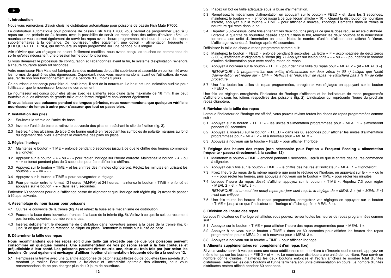#### **1. Introduction**

Nous vous remercions d'avoir choisi le distributeur automatique pour poissons de bassin Fish Mate P7000.

Le distributeur automatique pour poissons de bassin Fish Mate P7000 vous permet de programmer jusqu'à 3 repas sur une période de 24 heures, avec la possibilité de servir les repas dans des unités d'environ 15ml. Le nourrisseur vous permet également de servir les repas avant l'heure programmée, ainsi que de servir des repas supplémentaires à la demande. Ce nourrisseur offre également une option « alimentation fréquente » (FREQUENT FEEDING), qui distribuera un repas programmé sur une période plus longue.

Afin d'éviter que vos réglages ne soient facilement modifiés, nous avons conçu les touches de commandes de sorte qu'elles nécessitent une pression ferme pour fonctionner.

Si vous démarrez le processus de configuration et l'abandonnez avant la fin, le système d'exploitation reviendra à l'heure courante après 60 secondes.

Votre nourrisseur Fish Mate est fabriqué dans des matériaux de qualité supérieure et assemblé en conformité avec les normes de qualité les plus rigoureuses. Cependant, nous vous recommandons, avant de l'utilisation, de vous assurer de son bon fonctionnement sur une période d'au moins 3 jours.

Ce nourrisseur est conçu pour faire du bruit lorsqu'il sert de la nourriture. Le bruit est une indication audible pour l'utilisateur que le nourrisseur fonctionne correctement.

Le nourrisseur est concu pour être utilisé avec les aliments secs d'une taille maximale de 16 mm. Il se peut toutefois que les aliments de grande taille et de forme irrégulière conviennent également.

#### **Si vous laissez vos poissons pendant de longues périodes, nous recommandons que quelqu'un vérifie le nourrisseur de temps à autre pour s'assurer que tout se passe bien.**

#### **2. Installation des piles**

- 2.1 Soulevez la trémie de l'unité de base.
- 2.2 Inversez l'unité de base et retirez le couvercle des piles en relâchant le clip de fixation (fig. 3).
- 2.3 Insérez 4 piles alcalines de type C de bonne qualité en respectant les symboles de polarité marqués au fond du logement des piles. Remettez le couvercle des piles en place.

#### **3. Réglez l'horloge**

- 3.1 Maintenez le bouton « TIME » enfoncé pendant 5 secondes jusqu'à ce que le chiffre des heures commence à clignoter.
- 3.2 Appuyez sur le bouton « + » ou « » pour régler l'horloge sur l'heure correcte. Maintenez le bouton « + » ou « - » enfoncé pendant plus de 3 secondes pour faire défiler les chiffres.
- 3.3 Appuyez sur le bouton « TIME » et les chiffres des minutes clignoteront. Réglez les minutes en utilisant les boutons  $\le + \infty$  ou  $\le - \infty$ .
- 3.4 Appuyez sur la touche « TIME » pour sauvegarder le réglage.
- 3.5 Pour permuter entre le format 12 heures (AM/PM) et 24 heures, maintenez le bouton « TIME » enfoncé et appuyez sur le bouton « + » dans les 3 secondes.

Patientez 60 secondes pour que l'affichage cesse de clignoter et que l'horloge soit réglée (fig. 2) avant de passer à l'étape suivante.

#### **4. Assemblage du nourrisseur pour poissons**

- 4.1 Ouvrez le couvercle de la trémie (fig. 4) et retirez la buse et le mécanisme de distribution.
- 4.2 Poussez la buse dans l'ouverture frontale à la base de la trémie (fig. 5). Veillez à ce qu'elle soit correctement positionnée, ouverture tournée vers le bas.
- 4.3 Insérez délicatement le mécanisme de distribution dans l'ouverture arrière à la base de la trémie (fig. 6) jusqu'à ce que le clip de rétention se clique en place. Remontez la trémie sur l'unité de base.

#### **5. Déterminer la taille des repas**

**Nous recommandons que les repas soit d'une taille qui n'excède pas ce que vos poissons peuvent consommer en quelques minutes. Une suralimentation de vos poissons serait à la fois coûteuse et préjudiciable à leur santé. Les poissons peuvent être nourris une, deux ou trois fois par jour selon les besoins. On peut également envisager d'utiliser l'option d'alimentation fréquente décrite à la section 12.**

5.1 Remplissez la trémie avec une quantité appropriée de bâtonnets/paillettes ou de boulettes bien au-delà d'un montant journalier. Pour conserver la fraîcheur et l'attractivité optimale des aliments, nous vous recommandons de ne pas charger plus de 10 jours de nourriture.

- 5.3 Remplissez le mécanisme d'alimentation en appuyant sur le bouton « FEED » et, dans les 3 secondes, maintenez le bouton « + » enfoncé jusqu'à ce que l'écran affiche « 10 ». Quand la distribution de nourriture s'arrête, appuyez sur la touche « TIME » pour afficher à nouveau l'horloge. Remettez dans la trémie la nourriture qui reste dans le bol.
- 5.4 Répétez 5.3 ci-dessus, cette fois en tenant les deux boutons jusqu'à ce que la dose requise ait été distribuée. Lorsque la quantité de nourriture désirée apparaît dans le bol, relâchez les deux boutons et le nourrisseur terminera son unité d'alimentation en cours. Notez le nombre d'unités d'alimentation affiché à l'écran. L'affichage reviendra à l'horloge après 60 secondes.

#### Définissez la taille de chaque repas programmé comme suit:

- 5.5 Maintenez le bouton « FEED » enfoncé pendant 5 secondes. La lettre « F » accompagnée de deux zéros (« 00 ») s'affichera et clignotera à l'écran (fig. 7). Appuyez sur les boutons « + » ou « - » pour définir le nombre d'unités d'alimentation pour cette configuration de repas.
- 5.6 Appuyez à nouveau sur le bouton « FEED » pour définir la taille du repas pour « MEAL 2 » (et « MEAL 3 »).

REMARQUE : la programmation des unités d'alimentation sur deux zéros (« 00 ») indique que l'unité d'alimentation est réglée sur « OFF » (ARRÊT) et l'indicateur de repas ne s'affichera pas à la fin de cette procédure.

5.7 Une fois toutes les tailles de repas programmées, enregistrez vos réglages en appuyant sur le bouton « FEED ».

Une fois les réglages enregistrés, l'indicateur de l'horloge s'affichera et les indicateurs de repas programmés s'afficheront sous les icônes respectives des poissons (fig. 2). L'indicateur qui représente l'heure du prochain repas clignotera.

#### **6. Révision de la taille des repas**

Lorsque l'indicateur de l'horloge est affiché, vous pouvez réviser toutes les doses de repas programmées comme suit :

- 6.1 Appuyez sur le bouton « FEED » les unités d'alimentation programmées pour « MEAL 1 » s'afficheront pendant 60 secondes.
- 6.2 Appuyez à nouveau sur le bouton « FEED » dans les 60 secondes pour afficher les unités d'alimentation programmées pour « MEAL 2 » et à nouveau pour « MEAL 3 ».
- 6.3 Appuyez à nouveau sur la touche « FEED » pour afficher l'horloge.

#### **7. Réglage des heures des repas (non nécessaire pour l'option « Frequent Feeding » alimentation fréquente - passez directement à la section 12)**

- 7.1 Maintenez le bouton « TIME » enfoncé pendant 5 secondes jusqu'à ce que le chiffre des heures commence à clignoter.
- 7.2 Appuyez deux fois sur le bouton « TIME » le chiffre des heures et l'indicateur « MEAL 1 » clignoteront.
- 7.3 Fixez l'heure du repas de la même manière que pour le réglage de l'horloge, en appuyant sur le « + » ou le « - » pour régler les heures, puis appuyez à nouveau sur le bouton « TIME » pour régler les minutes.
- 7.4 Lorsque l'heure du repas désiré s'affiche, appuyez sur le bouton « TIME ». Répétez 7.3 pour régler « MEAL 2 » et « MEAL 3 ».

REMARQUE : si un seul (ou deux) repas par jour sont requis, le réglage de « MEAL 2 » (et « MEAL 3 ») <sup>n</sup>'est pas critique.

7.5 Une fois toutes les heures de repas programmées, enregistrez vos réglages en appuyant sur le bouton « TIME » jusqu'à ce que l'indicateur de l'horloge s'affiche (après « MEAL 3 »).

#### **8. Révision de l'heure des repas**

Lorsque l'indicateur de l'horloge est affiché, vous pouvez réviser toutes les heures de repas programmées comme suit :

- 8.1 Appuyez sur le bouton « TIME » pour afficher l'heure des repas programmées pour « MEAL 1 ».
- 8.2 Appuyez à nouveau sur le bouton « TIME » dans les 60 secondes pour afficher les heures des repas programmées pour « MEAL 2 » et à nouveau pour « MEAL 3 ».
- 8.3 Appuyez à nouveau sur la touche « TIME » pour afficher l'horloge.

#### **9. Aliments supplémentaires (en complément d'un repas fixe)**

Si vous voulez servir à vos poissons une dose additionnelle de nourriture à n'importe quel moment, appuyez en même temps sur les touches « FEED » et « + ». Le nourrisseur distribuera une unité de nourriture. Pour servir un nombre donné d'unités, maintenez les deux boutons enfoncés et l'écran affichera le nombre total d'unités distribuées. Relâchez les deux boutons et l'unité terminera son unité d'alimentation en cours. Le nombre d'unités distribuées restera affiché pendant 60 secondes.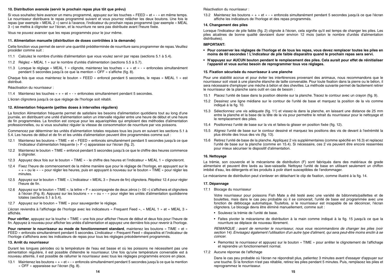#### **10. Distribution avancée (servir le prochain repas plus tôt que prévu)**

Si vous souhaitez faire avancer un menu programmé, appuyez sur les touches « FEED » et « - » en même temps. Le nourrisseur distribuera le repas programmé suivant et vous pourrez relâcher les deux boutons. Une fois le repas (par exemple « MEAL 2 ») servi à l'avance, l'indicateur du prochain repas programmé (par exemple « MEAL 3 ») se mettra à clignoter sur l'écran, et la nourriture ne sera pas distribuée avant l'heure fixée.

Vous ne pouvez avancer que les repas programmés pour le jour même.

#### **11. Alimentation manuelle (distribution de doses contrôlées à la demande)**

Cette fonction vous permet de servir une quantité prédéterminée de nourriture sans programmer de repas. Veuillez procéder comme suit :

- 11.1 Calculez le nombre d'unités d'alimentation que vous voulez servir par repas (sections 5.1 à 5.4).
- 11.2 Réglez « MEAL 1 » sur le nombre d'unités d'alimentation (sections 5.5 à 5.7).
- 11.3 Lorsque le réglage « MEAL 1 » clignote, maintenez les touches « + » et « » enfoncées simultanément pendant 5 secondes jusqu'à ce que la mention « OFF » s'affiche (fig. 8).

Chaque fois que vous maintenez le bouton « FEED » enfoncé pendant 5 secondes, le repas « MEAL 1 » est distribué.

Réactivation du nourrisseur :

11.4 Maintenez les touches « + » et « - » enfoncées simultanément pendant 5 secondes.

L'écran clignotera jusqu'à ce que réglage de l'horloge soit rétabli.

#### **12. Alimentation fréquente (petites doses à intervalles réguliers)**

La fonction Alimentation fréquente permet de satisfaire les besoins d'alimentation quotidiens tout au long d'une journée, en distribuant une unité d'alimentation selon un intervalle régulier entre une heure de début et une heure de fin programmées. La fonction est conçue pour les aquariophiles qui emploient des méthodes d'alimentation professionnelles, ou si vous souhaitez réguler la vitesse de consommation de nourriture par vos poissons.

Commencez par déterminer les unités d'alimentation totales requises tous les jours en suivant les sections 5.1 à 5.4. Les heures de début et de fin et les unités d'alimentation peuvent être programmées comme suit :

- 12.1 Maintenez les boutons « TIME » et « FEED » enfoncés simultanément pendant 5 secondes jusqu'à ce que l'indicateur d'alimentation fréquente (« F ») apparaisse sur l'écran (fig. 2).
- 12.2 Maintenez le bouton « TIME » enfoncé pendant 5 secondes jusqu'à ce que le chiffre des heures commence à clignoter.
- 12.3 Appuyez deux fois sur le bouton « TIME » le chiffre des heures et l'indicateur « MEAL 1 » clignoteront.
- 12.4 Fixez l'heure de commencement de la même manière que pour le réglage de l'horloge, en appuyant sur le « + » ou le « - » pour régler les heures, puis en appuyant à nouveau sur le bouton « TIME » pour régler les minutes.
- 12.5 Appuyez sur le bouton « TIME ». L'indicateur « MEAL 3 » (heure de fin) clignotera. Répétez 12.4 pour régler l'heure de fin.
- 12.6 Appuyez sur le bouton « TIME », la lettre « F » accompagnée de deux zéros (« 00 ») s'affichera et clignotera à l'écran (Fig. 8). Appuyez sur les boutons « + » ou « - » pour régler les unités d'alimentation quotidienne totales (sections 5.1 à 5.4).
- 12.7 Appuyez sur le bouton « TIME » pour sauvegarder le réglage.

L'écran reviendra à l'affichage de l'horloge avec les indicateurs « Frequent Feed », « MEAL 1 » et « MEAL 3 » affichés.

**Pour vérifier**, appuyez sur la touche « TIME » une fois pour afficher l'heure de début et deux fois pour l'heure de fin. Appuyez à nouveau pour afficher les unités d'alimentation et appuyez une dernière fois pour revenir à l'horloge.

**Pour ramener le nourrisseur au mode de fonctionnement standard**, maintenez les boutons « TIME » et « FEED » enfoncés simultanément pendant 5 secondes. L'indicateur « Frequent Feed » disparaîtra et l'indicateur de l'horloge s'affichera avec les indicateurs de repas pour tous les réglages précédemment programmés.

#### **13. Arrêt du nourrisseur**

Durant les longues périodes où la température de l'eau est basse et où les poissons ne nécessitent pas une alimentation régulière, il est possible d'éteindre le nourrisseur. Une fois qu'une température convenable est à nouveau atteinte, il est possible de rallumer le nourrisseur avec tous les réglages programmés encore en place.

13.1 Maintenez les boutons « + » et « - » enfoncés simultanément pendant 5 secondes jusqu'à ce que la mention « OFF » apparaisse sur l'écran (fig. 8).

Réactivation du nourrisseur :

13.2 Maintenez les boutons « + » et « - » enfoncés simultanément pendant 5 secondes jusqu'à ce que l'écran affiche les indicateurs de l'horloge et des repas programmés.

#### **14. Changement des piles**

Lorsque l'indicateur de pile faible (fig. 2) clignote à l'écran, cela signifie qu'il est temps de changer les piles. Les piles alcalines de bonne qualité devraient durer environ 12 mois (selon le nombre d'unités d'alimentation distribuées).

#### **IMPORTANT:**

- **Pour conserver les réglages de l'horloge et de tous les repas, vous devez remplacer toutes les piles en moins de 60 secondes ! L'indicateur de pile faible disparaîtra quand le prochain repas sera servi.**
- **N'appuyez sur AUCUN bouton pendant le remplacement des piles. Cela aurait pour effet de réinitialiser l'appareil et vous auriez besoin de reprogrammer tous vos réglages.**

#### **15. Fixation sécurisée du nourrisseur à une planche**

Pour une stabilité accrue et pour éviter les interférences provenant des animaux, nous recommandons que le nourrisseur soit vissé à une planche étanche de taille convenable. Pour toute fixation dans la pierre ou le béton, il sera nécessaire d'employer une mèche à béton et des chevilles. La méthode suivante permet de facilement retirer le nourrisseur de la planche sans outil en cas de besoin :

- 15.1 Placez l'unité de base dans la position désirée sur la planche. Tracez le contour avec un crayon (fig. 9).
- 15.2 Dessinez une ligne médiane sur le contour de l'unité de base et marquez la position de la vis comme indiqué à la fig. 10.
- 15.3 Sélectionnez une vis adéquate (fig. 11) et vissez-la dans la planche, en laissant une distance de 25 mm entre la planche et la base de la tête de la vis pour permettre le retrait du nourrisseur pour le nettoyage et le remplacement des piles.
- 15.4 Positionnez l'unité de base sur la vis et faites-la glisser en position fixée (fig. 12).
- 15.5 Alignez l'unité de base sur le contour dessiné et marquez les positions des vis de devant à l'extrémité la plus étroite des trous des vis (fig. 13).
- 15.6 Retirez l'unité de base de la planche. Appliquez 2 vis supplémentaires (comme spécifié en 16.3) et replacez l'unité de base sur la planche (comme en 15.4). Si nécessaire, ces 2 vis peuvent être encore resserrées pour mieux sécuriser le dispositif d'alimentation.

#### **16. Nettoyage**

La trémie, son couvercle et le mécanisme de distribution (F) sont fabriqués dans des matériaux de grade alimentaire et peuvent être lavés au lave-vaisselle. Nettoyez l'unité de base en utilisant seulement un chiffon imbibé d'eau, les détergents et les produits à polir étant susceptibles de l'endommager.

Le mécanisme de distribution peut s'enlever en détachant le clip de fixation, comme illustré à la fig. 14.

#### **17. Dépannage**

17.1 Blocage du nourrisseur

Votre nourrisseur pour poissons Fish Mate a été testé avec une variété de bâtonnets/paillettes et de boulettes, mais dans le cas peu probable où il se coincerait, l'unité de base est programmée avec une fonction de déblocage automatique. Toutefois, si le nourrisseur est incapable de se décoincer, l'écran clignotera. Le blocage devra être éliminé manuellement, comme suit :

- Soulevez la trémie de l'unité de base.
- Faites pivoter le mécanisme de distribution à la main comme indiqué à la fig. 15 jusqu'à ce que la nourriture se déplace de nouveau librement.

REMARQUE : avant de remonter le nourrisseur, nous vous recommandons de changer les piles (voir section 14). Envisagez également l'utilisation d'un autre type d'aliment, qui sera peut-être moins enclin à se coincer.

- Remontez le nourrisseur et appuyez sur le bouton « TIME » pour arrêter le clignotement de l'affichage et reprendre un fonctionnement normal.
- 17.2 Aucune réponse de l'affichage

Dans le cas peu probable où l'écran ne répondrait plus, patientez 3 minutes avant d'essayer d'appuyer sur une touche. Si la fonction n'est pas rétablie, retirez les piles pendant 5 minutes. Puis, remplacez les piles et reprogrammez le nourrisseur.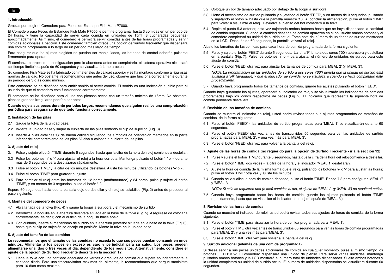#### **1. Introducción**

Gracias por elegir el Comedero para Peces de Estanque Fish Mate P7000.

El Comedero para Peces de Estanque Fish Mate P7000 le permite programar hasta 3 comidas en un período de 24 horas, y tiene la capacidad de servir cada comida en unidades de 15ml (3 cucharadas pequeñas) aproximadamente. Asimismo, el comedero le permitirá servir comidas antes de las horas programadas y servir comidas adicionales a petición. Este comedero también ofrece una opción de 'surtido frecuente' que dispensará una comida programada a lo largo de un período más largo de tiempo.

Para asegurar que los ajustes elegidos no puedan ser manipulados, los botones de control deberán pulsarse firmemente para operar.

Si comienza el proceso de configuración pero lo abandona antes de completarlo, el sistema operativo alcanzará su 'tiempo límite' después de 60 segundos y se visualizará la hora actual.

Su comedero Fish Mate se ha fabricado con materiales de calidad superior y se ha montado conforme a rigurosas normas de calidad. No obstante, recomendamos que antes del uso, observe que funciona correctamente durante un período de 3 días como mínimo.

Este comedero se ha diseñado para emitir sonido al servir comida. El sonido es una indicación audible para el usuario de que el comedero está funcionando correctamente.

El comedero se ha diseñado para el uso con piensos secos con un tamaño máximo de 16mm. No obstante, piensos grandes irregulares podrían ser aptos.

#### **Cuando deje a sus peces durante períodos largos, recomendamos que alguien realice una comprobación periódica para asegurarse de que todo funciona correctamente.**

#### **2. Instalación de las pilas**

- 2.1 Saque la tolva de la unidad base.
- 2.2 Invierta la unidad base y saque la cubierta de las pilas soltando el clip de sujeción (Fig. 3).
- 2.3 Inserte 4 pilas alcalinas 'C' de buena calidad siguiendo los símbolos de orientación marcados en la parte inferior del compartimiento de las pilas. Vuelva a colocar la cubierta de las pilas.

#### **3. Ajuste del reloj**

- 3.1 Pulse y sujete el botón 'TIME' durante 5 segundos, hasta que la cifra de la hora del reloj comience a destellar.
- 3.2 Pulse los botones '+' o '-' para ajustar el reloj a la hora correcta. Mantenga pulsado el botón '+' o '-' durante más de 3 segundos para desplazarse rápidamente.
- 3.3 Pulse el botón 'TIME' y la cifra de los minutos destellará. Ajuste los minutos utilizando los botones '+' o '-'.
- 3.4 Pulse el botón 'TIME' para guardar el ajuste.
- 3.5 Para cambiar el reloj entre los formatos de 12 horas (mañana/tarde) y 24 horas, pulse y sujete el botón 'TIME', y en menos de 3 segundos, pulse el botón '+'.

Espere 60 segundos hasta que la pantalla deje de destellar y el reloj se estabilice (Fig. 2) antes de proceder al paso siguiente.

#### **4. Montaje del comedero de peces**

- 4.1 Abra la tapa de la tolva (Fig. 4) y saque la boquilla surtidora y el mecanismo de surtido.
- 4.2 Introduzca la boquilla en la abertura delantera situada en la base de la tolva (Fig. 5). Asegúrese de colocarla correctamente, es decir, con el orificio de la boquilla hacia abajo.
- 4.3 Con cuidado, inserte el mecanismo de surtido en la abertura posterior situada en la base de la tolva (Fig. 6), hasta que el clip de sujeción se encaje en posición. Monte la tolva en la unidad base.

#### **5. Ajuste del tamaño de las comidas**

**Le recomendamos que el tamaño de las comidas no exceda lo que sus peces puedan consumir en unos minutos. Alimentar a los peces en exceso es caro y perjudicial para su salud. Los peces pueden alimentarse una, dos o tres veces al día, dependiendo de los requisitos. Alternativamente, considere el ajuste de la opción de Surtido Frecuente descrita en la sección 12.**

5.1 Llene la tolva con una cantidad adecuada de varitas o gránulos de comida que supere abundantemente la cantidad diaria. Para una frescura/sabor máximos del alimento, le recomendamos que cargue suministro para 10 días como máximo.

- 5.3 Llene el mecanismo de surtido pulsando y sujetando el botón 'FEED', y en menos de 3 segundos, pulsando y sujetando el botón '+' hasta que la pantalla muestre '10'. Al concluir la alimentación, pulse el botón 'TIME' para volver a visualizar el reloj. Devuelva el pienso del bol comedero a la tolva.
- 5.4 Repita el punto 5.3 anterior, esta vez sujetando ambos botones hasta que se haya dispensado la cantidad de comida requerida. Cuando la cantidad deseada de comida aparezca en el bol, suelte ambos botones y el comedero completará su unidad de surtido actual. Tome nota del número de unidades de surtido mostradas en la LCD. Después de 60 segundos, la pantalla volverá al reloj.

Ajuste los tamaños de las comidas para cada hora de comida programada de la forma siguiente:

- 5.5 Pulse y sujete el botón 'FEED' durante 5 segundos. La letra 'F' junto a dos ceros ('00') aparecerá y destellará en la pantalla (Fig. 7). Pulse los botones '+' o '-' para ajustar el número de unidades de surtido para este ajuste de comida.
- 5.6 Pulse el botón 'FEED' otra vez para ajustar los tamaños de comida para 'MEAL 2' (y 'MEAL 3').

NOTA: La programación de las unidades de surtido a dos ceros ('00') denota que la unidad de surtido está ajustada a 'off' (apagado), y que el indicador de comida no se visualizará cuando se haya completado este procedimiento.

5.7 Cuando haya programado todos los tamaños de comidas, guarde los ajustes pulsando el botón 'FEED'.

Cuando haya guardado los ajustes, aparecerá el indicador de reloj y se visualizarán los indicadores de comidas programadas bajo los iconos respectivos de peces (Fig. 2). El indicador que representa la siguiente hora de comida pendiente destellará.

#### **6. Revisión de los tamaños de comidas**

Cuando se muestre el indicador de reloj, usted podrá revisar todos sus ajustes programados de tamaños de comidas, de la forma siguiente:

- 6.1 Pulse el botón 'FEED' las unidades de surtido programadas para 'MEAL 1' se visualizarán durante 60 segundos.
- 6.2 Pulse el botón 'FEED' otra vez antes de transcurridos 60 segundos para ver las unidades de surtido programadas para 'MEAL 2', y una vez más para 'MEAL 3'.
- 6.3 Pulse el botón 'FEED' otra vez para volver a la pantalla del reloj.

#### **7. Ajuste de las horas de comida (no requerido para la opción de Surtido Frecuente - ir a la sección 12)**

- 7.1 Pulse y sujete el botón 'TIME' durante 5 segundos, hasta que la cifra de la hora del reloj comience a destellar.
- 7.2 Pulse el botón 'TIME' dos veces la cifra de la hora y el indicador 'MEAL 1' destellarán.
- 7.3 Ajuste la hora de comida de la misma forma que el reloj, pulsando los botones '+' o '-' para ajustar las horas; pulse el botón 'TIME' otra vez y ajuste los minutos.
- 7.4 Cuando se visualice la hora de comida deseada, pulse el botón 'TIME'. Repita 7.3 para configurar 'MEAL 2' y 'MEAL 3'.

NOTA: Si sólo se requieren una (o dos) comidas al día, el ajuste de 'MEAL 2' (y 'MEAL 3') no resultará crítico.

7.5 Cuando haya programado todas las horas de comida, guarde los ajustes pulsando el botón 'TIME' repetidamente, hasta que se visualice el indicador del reloj (después de 'MEAL 3').

#### **8. Revisión de las horas de comida**

Cuando se muestre el indicador de reloj, usted podrá revisar todos sus ajustes de horas de comida, de la forma siguiente:

- 8.1 Pulse el botón 'TIME' para visualizar la hora de comida programada para 'MEAL 1'.
- 8.2 Pulse el botón 'TIME' otra vez antes de transcurridos 60 segundos para ver las horas de comida programadas para 'MEAL 2', y una vez más para 'MEAL 3'.
- 8.3 Pulse el botón 'TIME' otra vez para volver a la pantalla del reloj.

#### **9. Surtido adicional (además de una comida programada)**

Si desea servir a sus peces unidades adicionales de comida en cualquier momento, pulse al mismo tiempo los botones 'FEED' y '+'. El comedero dispensará una unidad de pienso. Para servir varias unidades, mantenga pulsados ambos botones y la LCD mostrará el número total de unidades dispensadas. Suelte ambos botones y la unidad completará su unidad de surtido actual. El número de unidades dispensadas se visualizará durante 60 segundos.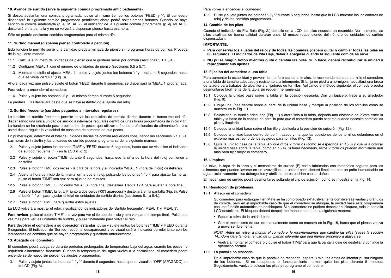#### **10. Avance de surtido (sirve la siguiente comida programada anticipadamente)**

Si desea adelantar una comida programada, pulse al mismo tiempo los botones 'FEED' y '-'. El comedero dispensará la siguiente comida programada pendiente; ahora podrá soltar ambos botones. Cuando se haya servido la comida adelantada (p. ej. MEAL 2), el indicador de la siguiente comida programada (p. ej. MEAL 3) destellará en la pantalla y no se volverá a dispensar pienso hasta esa hora.

Sólo se podrán adelantar comidas programadas para el mismo día.

#### **11. Surtido manual (dispensa pienso controlado a petición)**

Esta función le permite servir una cantidad predeterminada de pienso sin programar horas de comida. Proceda de la siguiente manera:

- 11.1 Calcule el número de unidades de pienso que le gustaría servir por comida (secciones 5.1 a 5.4.).
- 11.2 Configure 'MEAL 1' con el número de unidades de pienso (secciones 5.5 a 5.7).
- 11.3 Mientras destella el ajuste 'MEAL 1', pulse y sujete juntos los botones '+' y '-' durante 5 segundos, hasta que se visualice 'OFF' (Fig. 8).

Ahora, cada vez que pulse y sujete el botón 'FEED' durante 5 segundos, se dispensará la 'MEAL 1' programada.

Para volver a encender el comedero:

11.4 Pulse y sujete los botones '+' y '-' al mismo tiempo durante 5 segundos.

La pantalla LCD destellará hasta que se haya restablecido el ajuste del reloj.

#### **12. Surtido frecuente (surtidos pequeños a intervalos regulares)**

La función de surtido frecuente permite servir los requisitos de comida diarios durante el transcurso del día, dispensando una única unidad de surtido a intervalos regulares dentro de unas horas programadas de inicio y fin. La función se ha diseñado para propietarios de peces que utilizan métodos profesionales de alimentación, o si usted desea regular la velocidad de consumo de alimento de sus peces.

En primer lugar, determine el total de unidades diarias de comida requeridas consultando las secciones 5.1 a 5.4. Las horas de inicio/fin y las unidades de surtido pueden programarse de la siguiente manera:

- 12.1 Pulse y sujete juntos los botones 'TIME' y 'FEED' durante 5 segundos, hasta que se visualice el indicador de surtido frecuente ('F') en la LCD (Fig. 2).
- 12.2 Pulse y sujete el botón 'TIME' durante 5 segundos, hasta que la cifra de la hora del reloj comience a destellar.
- 12.3 Pulse el botón 'TIME' dos veces la cifra de la hora y el indicador 'MEAL 1' (hora de inicio) destellarán.
- 12.4 Ajuste la hora de inicio de la misma forma que el reloj, pulsando los botones '+' o '-' para ajustar las horas; pulse el botón 'TIME' otra vez para ajustar los minutos.
- 12.5 Pulse el botón 'TIME'. El indicador 'MEAL 3' (hora final) destellará. Repita 12.4 para ajustar la hora final.
- 12.6 Pulse el botón 'TIME', la letra 'F' junto a dos ceros ('00') aparecerá y destellará en la pantalla (Fig. 8). Pulse el botón '+' o '-' para ajustar el total de unidades de surtido diarias (secciones 5.1 a 5.4.).
- 12.7 Pulse el botón 'TIME' para guardar estos ajustes.

La LCD volverá a mostrar el reloj, visualizando los indicadores de 'Surtido frecuente', 'MEAL 1' y 'MEAL 3'.

**Para revisar**, pulse el botón 'TIME' una vez para ver el tiempo de inicio y otra vez para el tiempo final. Pulse una vez más para ver las unidades de surtido, y pulse finalmente para volver al reloj.

**Para devolver el comedero a su operación estándar**, pulse y sujete juntos los botones 'TIME' y 'FEED' durante 5 segundos. El indicador de 'Surtido frecuente' desaparecerá y se visualizará el indicador de reloj junto con los indicadores de comidas que se hayan programado y guardado anteriormente.

#### **13. Apagado del comedero**

El comedero podrá apagarse durante períodos prolongados de temperatura baja del agua, cuando los peces no requieren alimentación frecuente. Cuando la temperatura del agua vuelva a la normalidad, el comedero podrá encenderse de nuevo sin perder los ajustes programados.

13.1 Pulse y sujete juntos los botones '+' y '-' durante 5 segundos, hasta que se visualice 'OFF' (APAGADO) en la LCD (Fig. 8).

Para volver a encender el comedero:

13.2 Pulse y sujete juntos los botones '+' y '-' durante 5 segundos, hasta que la LCD muestre los indicadores de reloj y de las comidas programadas.

#### **14. Cambio de las pilas**

Cuando el indicador de Pila Baja (Fig. 2.) destelle en la LCD, las pilas necesitarán recambio. Normalmente, las pilas alcalinas de buena calidad durarán unos 12 meses (dependiendo del número de unidades de surtido dispensadas).

#### **IMPORTANTE:**

- **Para conservar los ajustes del reloj y de todas las comidas, ¡deberá quitar y cambiar todas las pilas en 60 segundos! El indicador de Pila Baja, debería apagarse cuando la siguiente comida se sirva.**
- **NO pulse ningún botón mientras quita o cambia las pilas. Si lo hace, deberá reconfigurar la unidad y reprogramar sus ajustes.**

#### **15. Fijación del comedero a una tabla**

Para aumentar la estabilidad y prevenir la interferencia de animales, le recomendamos que atornille el comedero a una tabla de tamaño adecuado y resistente a la intemperie. Si la fija en piedra u hormigón, necesitará una broca de taladro para trabajos de albañilería y fijadores de tornillos. Aplicando el método siguiente, el comedero podrá desmontarse fácilmente de la tabla sin requerir herramientas:

- 15.1 Coloque la unidad base sobre la tabla en la posición deseada. Con un lapicero, trace a su alrededor  $(Fia. 9)$ .
- 15.2 Dibuje una línea central sobre el perfil de la unidad base y marque la posición de los tornillos como se muestra en la Fig. 10.
- 15.3 Seleccione un tornillo adecuado (Fig. 11) y atorníllelo a la tabla, dejando una distancia de 25mm entre la tabla y la base de la cabeza del tornillo para que el comedero pueda sacarse cuando necesite cambiar las pilas y limpiarlo.
- 15.4 Coloque la unidad base sobre el tornillo y deslícela a la posición de sujeción (Fig. 12).
- 15.5 Coloque la unidad base dentro del perfil trazado y marque las posiciones de los tornillos delanteros en el extremo más estrecho de los agujeros para tornillos (Fig. 13).
- 15.6 Quite la unidad base de la tabla. Aplique otros 2 tornillos (como se especifica en 15.3) y vuelva a colocar la unidad base sobre la tabla (como en 15.4). Si fuera necesario, estos 2 tornillos pueden atornillarse aún más para fijar mejor el comedero.

#### **16. Limpieza**

La tolva, la tapa de la tolva y el mecanismo de surtido (F) están fabricados con materiales seguros para los alimentos que pueden lavarse en un lavavajillas. La unidad base deberá limpiarse con un paño humedecido en agua exclusivamente - los detergentes y abrillantadores podrían causar daños.

El mecanismo de surtido podrá desmontarse soltando el clip de sujeción, como se muestra en la Fig. 14.

#### **17. Resolución de problemas**

17.1 Atasco en el comedero

Su comedero para estanque Fish Mate se ha comprobado exhaustivamente con diversas varitas y gránulos de comida, pero en el improbable caso de que el comedero se atasque, la unidad base está programada con una función automática de desbloqueo. Si el comedero no pudiera despejar el bloqueo, toda la pantalla LCD destellará. El bloqueo deberá despejarse manualmente, de la siguiente manera:

- Saque la tolva de la unidad base.
- Gire el mecanismo de surtido manualmente como se muestra en la Fig. 15, hasta que el pienso vuelva a moverse libremente.

NOTA: Antes de volver a montar el comedero, le recomendamos que cambie las pilas (véase la sección 14). Considere también el uso de un pienso diferente que sea menos propenso a atascarse.

- Vuelva a montar el comedero y pulse el botón 'TIME' para que la pantalla deje de destellar y continúe la operación normal.
- 17.2 La pantalla no responde

En el improbable caso de que la pantalla no responda, espere 3 minutos antes de intentar pulsar ninguno de los botones. Si no recuperase el funcionamiento normal, quite las pilas durante 5 minutos. Seguidamente, vuelva a colocar las pilas y reprograme el comedero.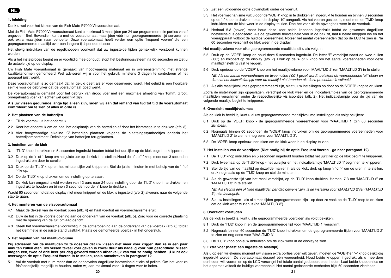

#### **1. Inleiding**

Dank u wel voor het kiezen van de Fish Mate P7000 Visvoerautomaat.

Met de Fish Mate P7000 Visvoerautomaat kunt u maximaal 3 maaltijden per 24 uur programmeren in porties vanaf ongeveer 15ml. Bovendien kunt u met de voerautomaat maaltijden vóór hun geprogrammeerde tijd serveren en ook extra maaltijden naar behoefte. Deze voerautomaat heeft verder een optie 'frequent voeren' die een geprogrammeerde maaltijd over een langere tijdsperiode doseert.

Het stevig indrukken van de regelknoppen voorkomt dat uw ingestelde tijden gemakkelijk verstoord kunnen worden.

Als u het instelproces begint en er voortijdig mee ophoudt, stopt het besturingssysteem na 60 seconden en ziet u de actuele tijd op de display.

Uw Fish Mate voerautomaat is gemaakt van hoogwaardig materiaal en in overeenstemming met strenge kwaliteitsnormen gemonteerd. Wel adviseren wij u voor het gebruik minstens 3 dagen te controleren of het apparaat juist werkt.

Deze voerautomaat is zo gemaakt dat hij geluid geeft als er voer geserveerd wordt. Het geluid is een hoorbare seintje voor de gebruiker dat de voerautomaat goed werkt.

De voerautomaat is gemaakt voor het gebruik van droog voer met een maximale afmeting van 16mm. Groot, onregelmatig voer kan echter wel geschikt zijn.

**Als uw vissen gedurende lange tijd alleen zijn, raden wij aan dat iemand van tijd tot tijd de voerautomaat controleert om te zien of alles in orde is.**

#### **2. Het plaatsen van de batterijen**

- 2.1 Til de voerbak uit het onderstuk.
- 2.2 Keer het onderstuk om en haal het dekplaatje van de batterijen af door het klemmetje in te drukken (afb. 3).
- 2.3 Vier hoogwaardige alkaline 'C' batterijen plaatsen volgens de plaatsingssymbooltjes onderin het batterijcompartiment. Dekplaatje van batterijen terugplaatsen.

#### **3. Instellen van de klok**

- 3.1 'TIJD' knop indrukken en 5 seconden ingedrukt houden totdat het uurcijfer op de klok begint te knipperen.
- 3.2 Druk op de '+' of '-' knop om het juiste uur op de klok in te stellen. Houd de '+' , of '-' knop meer dan 3 seconden ingedrukt om door te scrollen.
- 3.3 Druk op de 'TIJD' knop en het minutencijfer zal knipperen. Stel de juiste minuten in met behulp van de '+' of '-' knop.
- 3.4 Op de 'TIJD' knop drukken om de instelling op te slaan.
- 3.5 De klok kan omgeschakeld worden van 12 uurs naar 24 uurs instelling door de 'TIJD' knop in te drukken en ingedrukt te houden en binnen 3 seconden op de '+' knop te drukken.

Wacht 60 seconden totdat de display niet meer knippert en de klok is ingesteld (afb. 2) alvorens naar de volgende stap te gaan.

#### **4. Het monteren van de visvoerautomaat**

- 4.1 Maak de deksel van de voerbak open (afb. 4) en haal voertuit en voermechanisme eruit.
- 4.2 Duw de tuit in de voorste opening aan de onderkant van de voerbak (afb. 5). Zorg voor de correcte plaatsing met de opening van de tuit omlaag gericht.
- 4.3 Steek het voermechanisme voorzichtig in de achteropening aan de onderkant van de voerbak (afb. 6) totdat het klemmetje in de juiste stand vastklikt. Plaats de gemonteerde voerbak in het onderstuk.

#### **5. Het bepalen van het maaltijdvolume**

**Wij adviseren om de maaltijden zo te doseren dat uw vissen niet meer voer krijgen dan ze in een paar minuten zullen eten. Uw vissen teveel voer geven is zowel duur als nadelig voor hun gezondheid. Vissen mogen een, twee of drie keer per dag gevoerd worden afhankelijk van wat ze nodig hebben. U kunt ook overwegen de optie Frequent Voeren in te stellen, zoals omschreven in paragraaf 12.**

5.1 Vul de voerbak met ruim meer dan de aanbevolen dagelijkse hoeveelheid sticks of pellets. Om het voer zo fris/appetijtelijk mogelijk te houden, raden wij aan maximaal voor 10 dagen voer te laden.

5.2 Zet een voldoende grote opvangbak onder de voertuit.

- 5.3 Het voermechanisme vult u door de 'VOER' knop in te drukken en ingedrukt te houden en binnen 3 seconden op de '+' knop te drukken totdat de display '10' aangeeft. Als het voeren gestopt is, moet men de 'TIJD' knop indrukken om de klok weer in de display te zien. Doe het voer uit de opvangbak weer in de voerbak.
- 5.4 Herhaal 5.3 (boven) maar houd deze keer beide knoppen ingedrukt totdat de gewenste dagelijkse hoeveelheid is gedoseerd. Als de gewenste hoeveelheid voer in de bak zit, laat u beide knoppen los en het voerapparaat voltooit de huidige voereenheid. Noteer het aantal voereenheden dat op de LCD te zien is. Na 60 seconden verschijnt de klok weer in de display.

Het maaltijdvolume voor elke geprogrammeerde maaltijd stelt u als volgt in:

- 5.5 Druk op de 'VOER' knop en houd deze 5 seconden ingedrukt. De letter 'F' verschijnt naast de twee nullen ('00') en knippert op de display (afb. 7). Druk op de '+' of '-' knop om het aantal voereenheden voor deze maaltijdinstelling vast te leggen.
- 5.6 Druk opnieuw op de 'VOER' knop om het maaltijdvolume voor 'MAALTIJD 2' (en 'MAALTIJD 3') in te stellen.

NB. Als het aantal voereenheden op twee nullen ('00' ) gezet wordt, betekent de voereenheden 'uit' staan en dan zal het indicatielampje voor de maaltijd niet branden als deze procedure is voltooid.

5.7 Als alle maaltijdvolumes geprogrammeerd zijn, slaat u uw instellingen op door op de 'VOER' knop te drukken.

Zodra de instellingen zijn opgeslagen, verschijnt de klok weer en de indicatielampjes van de geprogrammeerde maaltijden verschijnen onder de respectievelijke vis icoontjes (afb. 2). Het indicatielampje voor de tijd van de volgende maaltijd begint te knipperen.

#### **6. Overzicht maaltijdvolumes**

Als de klok in beeld is, kunt u al uw geprogrammeerde maaltijdvolume instellingen als volgt bekijken:

- 6.1 Druk op de 'VOER' knop de geprogrammeerde voereenheden voor 'MAALTIJD 1' zijn 60 seconden zichtbaar.
- 6.2 Nogmaals binnen 60 seconden de 'VOER' knop indrukken om de geprogrammeerde voereenheden voor 'MAALTIJD 2' te zien en nog eens voor 'MAALTIJD 3'.
- 6.3 De 'VOER' knop opnieuw indrukken om de klok weer in de display te zien.

#### **7. Het instellen van de voertijden (Niet nodig bij de optie Frequent Voeren - ga naar paragraaf 12)**

- 7.1 De 'TIJD' knop indrukken en 5 seconden ingedrukt houden totdat het uurcijfer op de klok begint te knipperen.
- 7.2 Druk tweemaal op de 'TIJD' knop het uurcijfer en het indicatielampje 'MAALTIJD 1' beginnen te knipperen.
- 7.3 Stel de tijd van de maaltijd op dezelfde manier in als de klok; druk op knop '+' of '-' om de uren in te stellen, druk nogmaals op de 'TIJD' knop en stel de minuten in.
- 7.4 Als de gewenste tijd van het maal verschijnt, op de 'TIJD' knop drukken. Herhaal 7.3 om 'MAALTIJD 2' en 'MAALTIJD 3' in te stellen.

NB. Als slechts één of twee maaltijden per dag gewenst zijn, is de instelling voor 'MAALTIJD 2' (en 'MAALTIJD 3') niet belangrijk.

7.5 Sla uw instellingen - als alle maaltijden geprogrammeerd zijn - op door zo vaak op de 'TIJD' knop te drukken dat de klok weer te zien is (na 'MAALTIJD 3').

#### **8. Overzicht voertijden**

Als de klok in beeld is, kunt u alle geprogrammeerde voertijden als volgt bekijken:

- 8.1 Druk de 'TIJD' knop in en de geprogrammeerde tijd voor 'MAALTIJD 1' verschijnt.
- 8.2 Nogmaals binnen 60 seconden de 'TIJD' knop indrukken om de geprogrammeerde tijden voor 'MAALTIJD 2' te zien en nog eens voor 'MAALTIJD 3'.
- 8.3 De 'TIJD' knop opnieuw indrukken om de klok weer in de display te zien.

#### **9. Extra voer (naast een Ingestelde Maaltijd)**

Als u op een willekeurig moment uw vissen extra porties voer wilt geven, moeten de 'VOER' en '+' knop gelijktijdig ingedrukt worden. De voerautomaat doseert één voereenheid. Houd beide knoppen ingedrukt als u meerdere eenheden wilt voeren en op de LCD verschijnt het totale aantal gedoseerde eenheden. Laat beide knoppen los en het apparaat voltooit de huidige voereenheid. Het aantal gedoseerde eenheden blijft 60 seconden zichtbaar.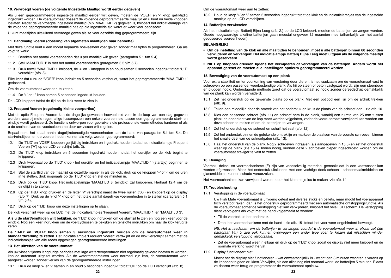#### **10. Vervroegd voeren (de volgende Ingestelde Maaltijd wordt eerder gegeven)**

Als u een geprogrammeerde ingestelde maaltijd eerder wilt geven, moeten de 'VOER' en '-' knop gelijktijdig ingedrukt worden. De voerautomaat doseert de volgende geprogrammeerde maaltijd en u kunt nu beide knoppen loslaten. Nadat de vervroegde ingestelde maaltijd (bijv. MAALTIJD 2) gegeven is, knippert het indicatielampje van de volgende geprogrammeerde maaltijd pas op die ingestelde tijd wordt er weer voer gedoseerd.

U kunt maaltijden uitsluitend vervroegd geven als ze voor dezelfde dag geprogrammeerd zijn.

#### **11. Handmatig voeren (dosering van afgemeten maaltijden naar behoefte)**

Met deze functie kunt u een vooraf bepaalde hoeveelheid voer geven zonder maaltijden te programmeren. Ga als volgt te werk:

- 11.1 Bereken het aantal voereenheden dat u per maaltijd wilt geven (paragrafen 5.1 t/m 5.4).
- 11.2 Stel 'MAALTIJD 1' in met het aantal voereenheden (paragrafen 5.5 t/m 5.7).
- 11.3 Druk terwijl 'MAALTIJD 1' knippert, de '+' en '-' knoppen in en houd samen 5 seconden ingedrukt totdat 'UIT' verschijnt (afb. 8).

Elke keer dat u nu de 'VOER' knop indrukt en 5 seconden vasthoudt, wordt het geprogrammeerde 'MAALTIJD 1' gedoseerd.

Om de voerautomaat weer aan te zetten:

11.4 De '+' en '-' knop samen 5 seconden ingedrukt houden.

De LCD knippert totdat de tijd op de klok weer te zien is.

#### **12. Frequent Voeren (regelmatig kleine voerporties)**

Met de optie Frequent Voeren kan de dagelijks gewenste hoeveelheid voer in de loop van een dag gegeven worden, waarbij mete regelmatige tussenpozen een enkele voereenheid tussen een geprogrammeerde start- en eindtijd wordt gedoseerd. De functie is ontworpen voor gebruikers die professionele voermethodes hanteren of als u de snelheid van de voedselopname door uw vissen wilt regelen.

Bepaal eerst het totaal aantal dagelijksbenodigde voereenheden aan de hand van paragrafen 5.1 t/m 5.4. De start/eindtijden en de voereenheden kunnen als volgt worden geprogrammeerd:

- 12.1 De 'TIJD' en 'VOER' knoppen gelijktijdig indrukken en ingedrukt houden totdat het indicatielampje Frequent Voeren ('V') op de LCD verschijnt (afb. 2).
- 12.2 De 'TIJD' knop indrukken en 5 seconden ingedrukt houden totdat het uurcijfer op de klok begint te knipperen.
- 12.3 Druk tweemaal op de 'TIJD' knop het uurcijfer en het indicatielampje 'MAALTIJD 1' (starttijd) beginnen te knipperen.
- 12.4 Stel de starttijd van de maaltijd op dezelfde manier in als de klok; druk op de knoppen '+' of '-' om de uren in te stellen, druk nogmaals op de 'TIJD' knop en stel de minuten in.
- 12.5 Druk op de 'TIJD' knop. Het indicatielampje 'MAALTIJD 3' (eindtijd) zal knipperen. Herhaal 12.4 om de eindtijd in te stellen.
- 12.6 Op de 'TIJD' knop drukken en de letter 'V' verschijnt naast de twee nullen ('00') en knippert op de display (afb. 7). Druk op de '+' of '-' knop om het totale aantal dagelijkse voereenheden in te stellen (paragrafen 5.1 t/m 5.4).
- 12.7 Druk op de 'TIJD' knop om deze instellingen op te slaan.

De klok verschijnt weer op de LCD met de indicatielampjes 'Frequent Voeren', 'MAALTIJD 1' en 'MAALTIJD 3'.

**Als u de start/eindtijden wilt bekijken**, de 'TIJD' knop indrukken om de starttijd te zien en nog een keer voor de eindtijd. Nog een keer indrukken om de voercyclussen te bekijken en tenslotte indrukken om naar de klok terug te keren.

**De 'TIJD' en 'VOER' knop samen 5 seconden ingedrukt houden om de voerautomaat weer in standaardwerking te zetten**. Het indicatielampje 'Frequent Voeren' verdwijnt en de klok verschijnt samen met de indicatielampjes van alle reeds opgeslagen geprogrammeerde instellingen.

#### **13. Het uitzetten van de voerautomaat**

Als uw vissen tijdens langdurige periodes met lage watertemperaturen niet regelmatig gevoerd hoeven te worden, kan de automaat uitgezet worden. Als de watertemperaturen weer normaal zijn kan, de voerautomaat weer aangezet worden zonder verlies van de geprogrammeerde instellingen.

13.1 Druk de knop '+' en '-' samen in en houd 5 seconden ingedrukt totdat 'UIT' op de LCD verschijnt (afb. 8).

Om de voerautomaat weer aan te zetten:

13.2 Houd de knop '+' en '-' samen 5 seconden ingedrukt totdat de klok en de indicatielampjes van de ingestelde maaltijd op de LCD verschijnen.

#### **14. Batterijen verwisselen**

Als het indicatielampje Batterij Bijna Leeg (afb. 2.) op de LCD knippert, moeten de batterijen vervangen worden. Goede hoogwaardige alkaline batterijen gaan meestal ongeveer 12 maanden mee (afhankelijk van het aantal gedoseerde voereenheden).

#### **BELANGRIJK!**

- **Om de instelling van de klok en alle maaltijden te behouden, moet u alle batterijen binnen 60 seconden verwijderen en vervangen! Het indicatielampje Batterij Bijna Leeg moet uitgaan als de volgende maaltijd wordt geserveerd.**
- **NIET op knoppen drukken tijdens het verwijderen of vervangen van de batterijen. Anders wordt het apparaat gereset en moeten alle instellingen opnieuw geprogrammeerd worden.**

#### **15. Bevestiging van de voerautomaat op een plank**

Voor extra stabiliteit en ter voorkoming van verstoring door dieren, is het raadzaam om de voerautomaat vast te schroeven op een passende, weerbestendige plank. Als hij op steen of beton vastgezet wordt, zijn een steenboor en pluggen nodig. Onderstaande methode zorgt dat de voerautomaat zo nodig zonder gereedschap gemakkelijk van de plank kan worden verwijderd:

- 15.1 Zet het onderstuk op de gewenste plaats op de plank. Met een potlood een lijn om de afdruk trekken (afb. 9).
- 15.2 Teken een middellijn door de omtrek van het onderstuk en kruis de plaats van de schroef aan zie afb. 10.
- 15.3 Kies een passende schroef (afb. 11) en schroef hem in de plank, waarbij een ruimte van 25 mm tussen plank en onderkant van de kop moet worden vrijgelaten, zodat de voerautomaat verwijderd kan worden om deze schoon te maken of om de batterijen te vervangen.
- 15.4 Zet het onderstuk op de schroef en schuif het vast (afb. 12).
- 15.5 Zet het onderstuk binnen de getekende omtreklijn en markeer de plaatsen van de voorste schroeven binnen het smalle deel van de schroefgaten (afb. 13).
- 15.6 Haal het onderstuk van de plank. Nog 2 schroeven indraaien (als aangegeven in 15.3) en zet het onderstuk weer op de plank (zie 15.4). Indien nodig, kunnen deze 2 schroeven dieper ingeschroefd worden om de voerautomaat steviger te vast te zetten.

#### **16. Reiniging**

Voerbak, deksel en voermechanisme (F) zijn van voedselveilig materiaal gemaakt dat in een vaatwasser kan worden afgewassen. Maak het onderstuk uitsluitend met een vochtige doek schoon - schoonmaakmiddelen en glansmiddelen kunnen schade veroorzaken.

Het voermechanisme kan verwijderd worden door het klemmetje los te maken -zie afb. 14.

#### **17. Troubleshooting**

17.1 Verstopping in de voerautomaat

Uw Fish Mate voerautomaat is uitvoerig getest met diverse sticks en pellets, maar mocht het voerapparaat toch verstopt raken, dan is het onderstuk geprogrammeerd met een automatische ontstoppingsfunctie. Als de voerautomaat echter de verstopping niet kan verwijderen, knippert het hele LCD scherm. De verstopping dient vervolgens als volgt met de hand vrijgemaakt te worden:

- Til de voerbak uit het onderstuk.
- Draai het voermechanisme met de hand zie afb. 15 -totdat het voer weer ongehinderd beweegt.

NB. Het is raadzaam om de batterijen te vervangen voordat u de voerautomaat weer in elkaar zet (zie paragraaf 14.) U zou ook kunnen overwegen een ander type voer te kiezen dat misschien minder gemakkelijk verstopping veroorzaakt.

- Zet de voerautomaat weer in elkaar en druk op de 'TIJD' knop, zodat de display niet meer knippert en de normale werking wordt hervat.
- 17.2 Display functioneert niet

Mocht het de display niet functioneren - wat onwaarschijnlijk is - wacht dan 3 minuten wachten alvorens op de knoppen te gaan drukken.Verwijder, als dan alles nog niet normaal werkt, de batterijen 5 minuten. Plaats ze daarna weer terug en programmeer de voerautomaat opnieuw.